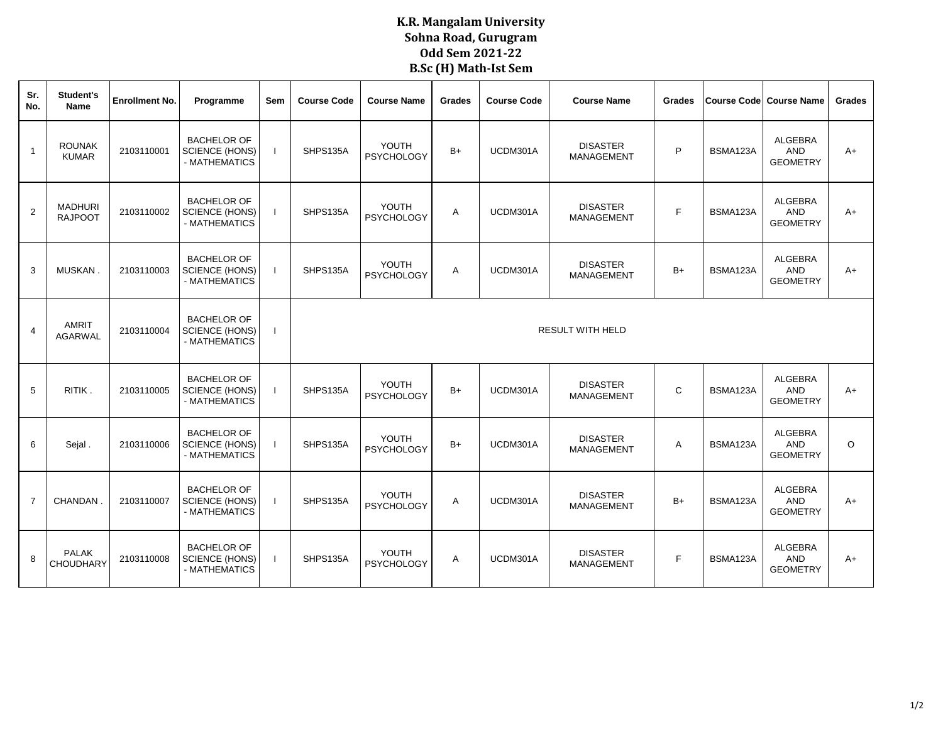## **K.R. Mangalam University Sohna Road, Gurugram Odd Sem 2021-22 B.Sc (H) Math-Ist Sem**

| Sr.<br>No.     | Student's<br>Name                | <b>Enrollment No.</b> | Programme                                                    | Sem | <b>Course Code</b>      | <b>Course Name</b>         | Grades         | <b>Course Code</b> | <b>Course Name</b>                   | <b>Grades</b> | Course Code | <b>Course Name</b>                              | Grades  |  |  |  |
|----------------|----------------------------------|-----------------------|--------------------------------------------------------------|-----|-------------------------|----------------------------|----------------|--------------------|--------------------------------------|---------------|-------------|-------------------------------------------------|---------|--|--|--|
| $\overline{1}$ | <b>ROUNAK</b><br><b>KUMAR</b>    | 2103110001            | <b>BACHELOR OF</b><br><b>SCIENCE (HONS)</b><br>- MATHEMATICS |     | SHPS135A                | YOUTH<br><b>PSYCHOLOGY</b> | $B+$           | UCDM301A           | <b>DISASTER</b><br><b>MANAGEMENT</b> | P             | BSMA123A    | <b>ALGEBRA</b><br><b>AND</b><br><b>GEOMETRY</b> | $A+$    |  |  |  |
| $\overline{2}$ | <b>MADHURI</b><br><b>RAJPOOT</b> | 2103110002            | <b>BACHELOR OF</b><br><b>SCIENCE (HONS)</b><br>- MATHEMATICS |     | SHPS135A                | YOUTH<br><b>PSYCHOLOGY</b> | A              | UCDM301A           | <b>DISASTER</b><br><b>MANAGEMENT</b> | E             | BSMA123A    | <b>ALGEBRA</b><br><b>AND</b><br><b>GEOMETRY</b> | $A+$    |  |  |  |
| 3              | MUSKAN                           | 2103110003            | <b>BACHELOR OF</b><br><b>SCIENCE (HONS)</b><br>- MATHEMATICS |     | SHPS135A                | YOUTH<br><b>PSYCHOLOGY</b> | A              | UCDM301A           | <b>DISASTER</b><br><b>MANAGEMENT</b> | $B+$          | BSMA123A    | <b>ALGEBRA</b><br><b>AND</b><br><b>GEOMETRY</b> | $A+$    |  |  |  |
| $\overline{4}$ | AMRIT<br>AGARWAL                 | 2103110004            | <b>BACHELOR OF</b><br><b>SCIENCE (HONS)</b><br>- MATHEMATICS |     | <b>RESULT WITH HELD</b> |                            |                |                    |                                      |               |             |                                                 |         |  |  |  |
| 5              | RITIK.                           | 2103110005            | <b>BACHELOR OF</b><br><b>SCIENCE (HONS)</b><br>- MATHEMATICS |     | SHPS135A                | YOUTH<br><b>PSYCHOLOGY</b> | $B+$           | UCDM301A           | <b>DISASTER</b><br><b>MANAGEMENT</b> | $\mathsf{C}$  | BSMA123A    | <b>ALGEBRA</b><br><b>AND</b><br><b>GEOMETRY</b> | $A+$    |  |  |  |
| 6              | Sejal.                           | 2103110006            | <b>BACHELOR OF</b><br><b>SCIENCE (HONS)</b><br>- MATHEMATICS |     | SHPS135A                | YOUTH<br><b>PSYCHOLOGY</b> | $B+$           | UCDM301A           | <b>DISASTER</b><br><b>MANAGEMENT</b> | Α             | BSMA123A    | <b>ALGEBRA</b><br><b>AND</b><br><b>GEOMETRY</b> | $\circ$ |  |  |  |
| $\overline{7}$ | CHANDAN                          | 2103110007            | <b>BACHELOR OF</b><br><b>SCIENCE (HONS)</b><br>- MATHEMATICS |     | SHPS135A                | YOUTH<br><b>PSYCHOLOGY</b> | $\overline{A}$ | UCDM301A           | <b>DISASTER</b><br><b>MANAGEMENT</b> | $B+$          | BSMA123A    | <b>ALGEBRA</b><br><b>AND</b><br><b>GEOMETRY</b> | $A+$    |  |  |  |
| 8              | <b>PALAK</b><br><b>CHOUDHARY</b> | 2103110008            | <b>BACHELOR OF</b><br>SCIENCE (HONS)<br>- MATHEMATICS        |     | SHPS135A                | YOUTH<br><b>PSYCHOLOGY</b> | Α              | UCDM301A           | <b>DISASTER</b><br><b>MANAGEMENT</b> | F             | BSMA123A    | <b>ALGEBRA</b><br>AND<br><b>GEOMETRY</b>        | A+      |  |  |  |